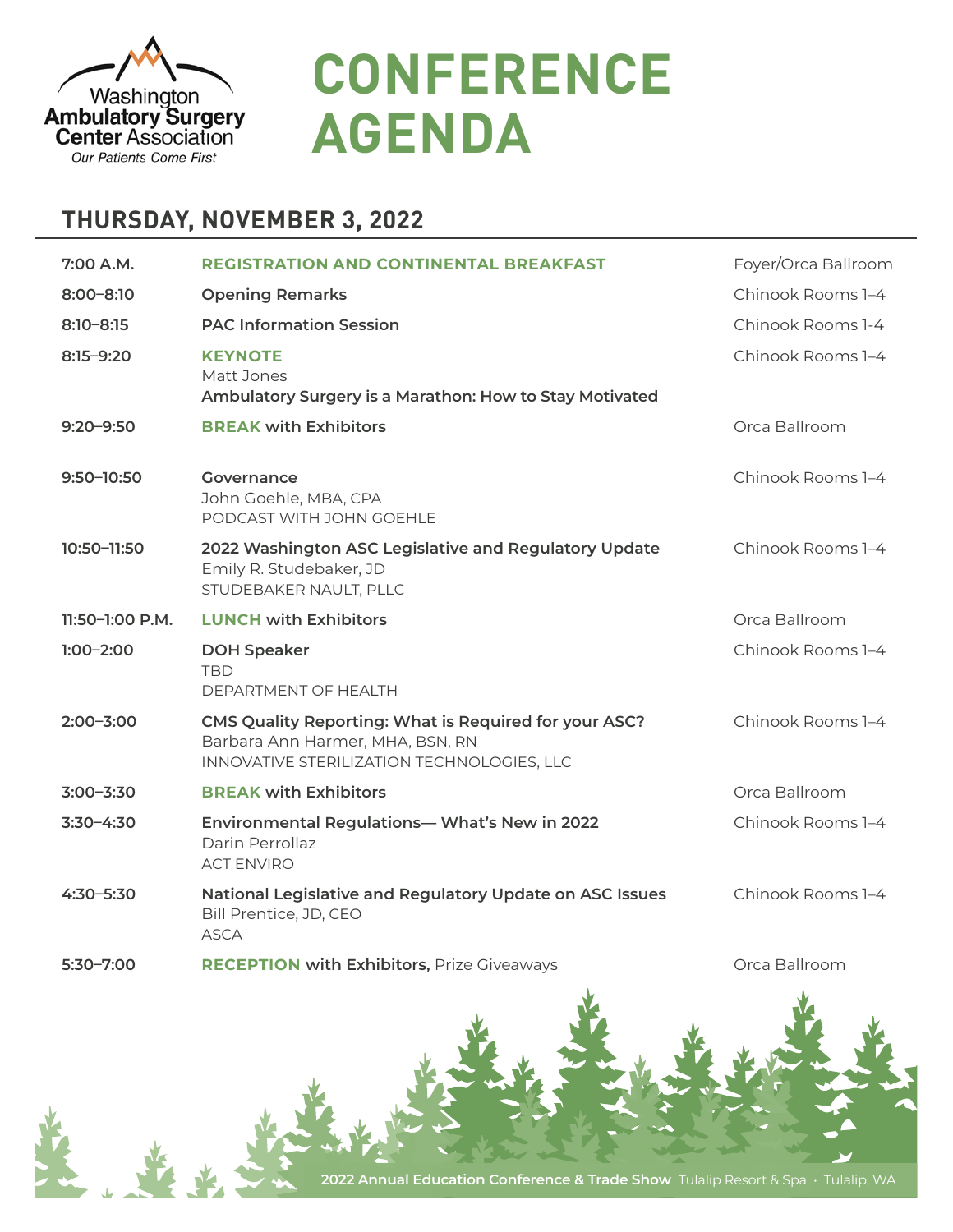

**CONFERENCE AGENDA**

## **THURSDAY, NOVEMBER 3, 2022**

| 7:00 A.M.       | <b>REGISTRATION AND CONTINENTAL BREAKFAST</b>                                                                                           | Foyer/Orca Ballroom |
|-----------------|-----------------------------------------------------------------------------------------------------------------------------------------|---------------------|
| $8:00 - 8:10$   | <b>Opening Remarks</b>                                                                                                                  | Chinook Rooms 1-4   |
| $8:10 - 8:15$   | <b>PAC Information Session</b>                                                                                                          | Chinook Rooms 1-4   |
| $8:15 - 9:20$   | <b>KEYNOTE</b><br>Matt Jones<br>Ambulatory Surgery is a Marathon: How to Stay Motivated                                                 | Chinook Rooms 1-4   |
| $9:20 - 9:50$   | <b>BREAK with Exhibitors</b>                                                                                                            | Orca Ballroom       |
| 9:50-10:50      | Governance<br>John Goehle, MBA, CPA<br>PODCAST WITH JOHN GOEHLE                                                                         | Chinook Rooms 1-4   |
| 10:50-11:50     | 2022 Washington ASC Legislative and Regulatory Update<br>Emily R. Studebaker, JD<br>STUDEBAKER NAULT, PLLC                              | Chinook Rooms 1-4   |
| 11:50-1:00 P.M. | <b>LUNCH with Exhibitors</b>                                                                                                            | Orca Ballroom       |
| $1:00-2:00$     | <b>DOH Speaker</b><br><b>TBD</b><br>DEPARTMENT OF HEALTH                                                                                | Chinook Rooms 1-4   |
| $2:00 - 3:00$   | CMS Quality Reporting: What is Required for your ASC?<br>Barbara Ann Harmer, MHA, BSN, RN<br>INNOVATIVE STERILIZATION TECHNOLOGIES, LLC | Chinook Rooms 1-4   |
| $3:00 - 3:30$   | <b>BREAK with Exhibitors</b>                                                                                                            | Orca Ballroom       |
| $3:30 - 4:30$   | Environmental Regulations- What's New in 2022<br>Darin Perrollaz<br><b>ACT ENVIRO</b>                                                   | Chinook Rooms 1-4   |
| $4:30 - 5:30$   | National Legislative and Regulatory Update on ASC Issues<br>Bill Prentice, JD, CEO<br><b>ASCA</b>                                       | Chinook Rooms 1-4   |
| $5:30 - 7:00$   | <b>RECEPTION with Exhibitors, Prize Giveaways</b>                                                                                       | Orca Ballroom       |